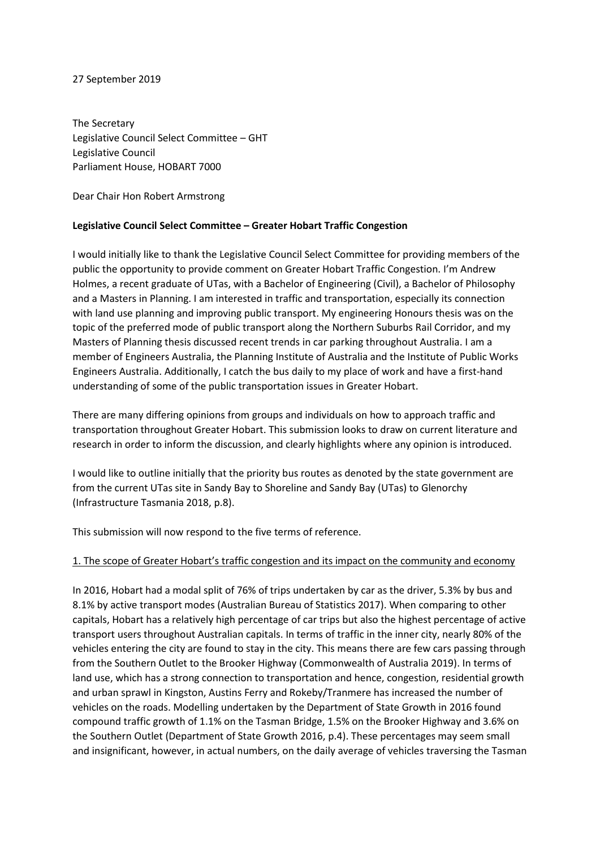## 27 September 2019

The Secretary Legislative Council Select Committee – GHT Legislative Council Parliament House, HOBART 7000

Dear Chair Hon Robert Armstrong

## **Legislative Council Select Committee – Greater Hobart Traffic Congestion**

I would initially like to thank the Legislative Council Select Committee for providing members of the public the opportunity to provide comment on Greater Hobart Traffic Congestion. I'm Andrew Holmes, a recent graduate of UTas, with a Bachelor of Engineering (Civil), a Bachelor of Philosophy and a Masters in Planning. I am interested in traffic and transportation, especially its connection with land use planning and improving public transport. My engineering Honours thesis was on the topic of the preferred mode of public transport along the Northern Suburbs Rail Corridor, and my Masters of Planning thesis discussed recent trends in car parking throughout Australia. I am a member of Engineers Australia, the Planning Institute of Australia and the Institute of Public Works Engineers Australia. Additionally, I catch the bus daily to my place of work and have a first-hand understanding of some of the public transportation issues in Greater Hobart.

There are many differing opinions from groups and individuals on how to approach traffic and transportation throughout Greater Hobart. This submission looks to draw on current literature and research in order to inform the discussion, and clearly highlights where any opinion is introduced.

I would like to outline initially that the priority bus routes as denoted by the state government are from the current UTas site in Sandy Bay to Shoreline and Sandy Bay (UTas) to Glenorchy (Infrastructure Tasmania 2018, p.8).

This submission will now respond to the five terms of reference.

## 1. The scope of Greater Hobart's traffic congestion and its impact on the community and economy

In 2016, Hobart had a modal split of 76% of trips undertaken by car as the driver, 5.3% by bus and 8.1% by active transport modes (Australian Bureau of Statistics 2017). When comparing to other capitals, Hobart has a relatively high percentage of car trips but also the highest percentage of active transport users throughout Australian capitals. In terms of traffic in the inner city, nearly 80% of the vehicles entering the city are found to stay in the city. This means there are few cars passing through from the Southern Outlet to the Brooker Highway (Commonwealth of Australia 2019). In terms of land use, which has a strong connection to transportation and hence, congestion, residential growth and urban sprawl in Kingston, Austins Ferry and Rokeby/Tranmere has increased the number of vehicles on the roads. Modelling undertaken by the Department of State Growth in 2016 found compound traffic growth of 1.1% on the Tasman Bridge, 1.5% on the Brooker Highway and 3.6% on the Southern Outlet (Department of State Growth 2016, p.4). These percentages may seem small and insignificant, however, in actual numbers, on the daily average of vehicles traversing the Tasman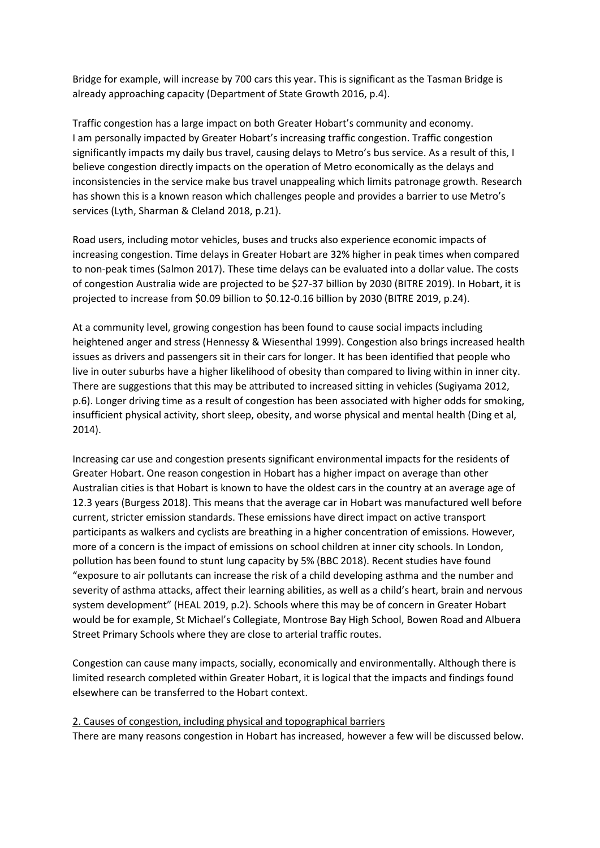Bridge for example, will increase by 700 cars this year. This is significant as the Tasman Bridge is already approaching capacity (Department of State Growth 2016, p.4).

Traffic congestion has a large impact on both Greater Hobart's community and economy. I am personally impacted by Greater Hobart's increasing traffic congestion. Traffic congestion significantly impacts my daily bus travel, causing delays to Metro's bus service. As a result of this, I believe congestion directly impacts on the operation of Metro economically as the delays and inconsistencies in the service make bus travel unappealing which limits patronage growth. Research has shown this is a known reason which challenges people and provides a barrier to use Metro's services (Lyth, Sharman & Cleland 2018, p.21).

Road users, including motor vehicles, buses and trucks also experience economic impacts of increasing congestion. Time delays in Greater Hobart are 32% higher in peak times when compared to non-peak times (Salmon 2017). These time delays can be evaluated into a dollar value. The costs of congestion Australia wide are projected to be \$27-37 billion by 2030 (BITRE 2019). In Hobart, it is projected to increase from \$0.09 billion to \$0.12-0.16 billion by 2030 (BITRE 2019, p.24).

At a community level, growing congestion has been found to cause social impacts including heightened anger and stress (Hennessy & Wiesenthal 1999). Congestion also brings increased health issues as drivers and passengers sit in their cars for longer. It has been identified that people who live in outer suburbs have a higher likelihood of obesity than compared to living within in inner city. There are suggestions that this may be attributed to increased sitting in vehicles (Sugiyama 2012, p.6). Longer driving time as a result of congestion has been associated with higher odds for smoking, insufficient physical activity, short sleep, obesity, and worse physical and mental health (Ding et al, 2014).

Increasing car use and congestion presents significant environmental impacts for the residents of Greater Hobart. One reason congestion in Hobart has a higher impact on average than other Australian cities is that Hobart is known to have the oldest cars in the country at an average age of 12.3 years (Burgess 2018). This means that the average car in Hobart was manufactured well before current, stricter emission standards. These emissions have direct impact on active transport participants as walkers and cyclists are breathing in a higher concentration of emissions. However, more of a concern is the impact of emissions on school children at inner city schools. In London, pollution has been found to stunt lung capacity by 5% (BBC 2018). Recent studies have found "exposure to air pollutants can increase the risk of a child developing asthma and the number and severity of asthma attacks, affect their learning abilities, as well as a child's heart, brain and nervous system development" (HEAL 2019, p.2). Schools where this may be of concern in Greater Hobart would be for example, St Michael's Collegiate, Montrose Bay High School, Bowen Road and Albuera Street Primary Schools where they are close to arterial traffic routes.

Congestion can cause many impacts, socially, economically and environmentally. Although there is limited research completed within Greater Hobart, it is logical that the impacts and findings found elsewhere can be transferred to the Hobart context.

## 2. Causes of congestion, including physical and topographical barriers

There are many reasons congestion in Hobart has increased, however a few will be discussed below.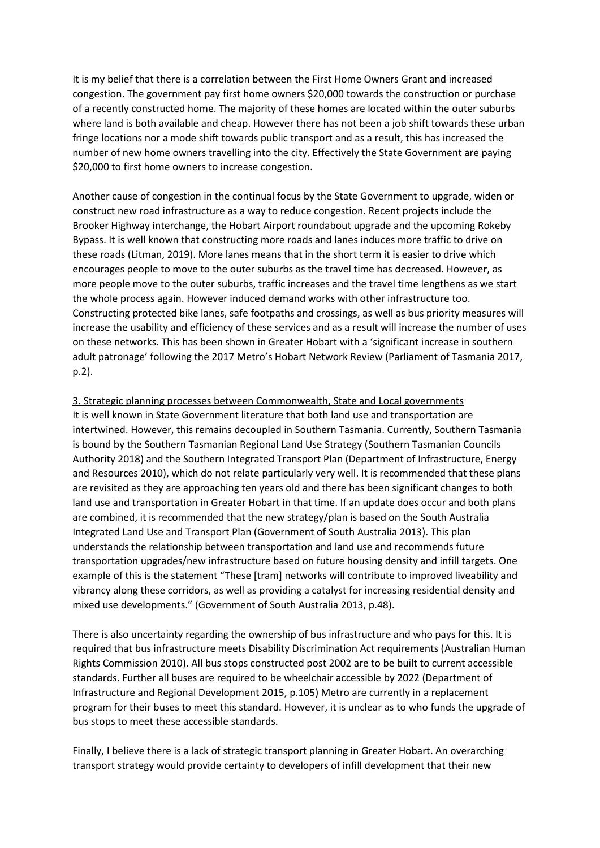It is my belief that there is a correlation between the First Home Owners Grant and increased congestion. The government pay first home owners \$20,000 towards the construction or purchase of a recently constructed home. The majority of these homes are located within the outer suburbs where land is both available and cheap. However there has not been a job shift towards these urban fringe locations nor a mode shift towards public transport and as a result, this has increased the number of new home owners travelling into the city. Effectively the State Government are paying \$20,000 to first home owners to increase congestion.

Another cause of congestion in the continual focus by the State Government to upgrade, widen or construct new road infrastructure as a way to reduce congestion. Recent projects include the Brooker Highway interchange, the Hobart Airport roundabout upgrade and the upcoming Rokeby Bypass. It is well known that constructing more roads and lanes induces more traffic to drive on these roads (Litman, 2019). More lanes means that in the short term it is easier to drive which encourages people to move to the outer suburbs as the travel time has decreased. However, as more people move to the outer suburbs, traffic increases and the travel time lengthens as we start the whole process again. However induced demand works with other infrastructure too. Constructing protected bike lanes, safe footpaths and crossings, as well as bus priority measures will increase the usability and efficiency of these services and as a result will increase the number of uses on these networks. This has been shown in Greater Hobart with a 'significant increase in southern adult patronage' following the 2017 Metro's Hobart Network Review (Parliament of Tasmania 2017, p.2).

## 3. Strategic planning processes between Commonwealth, State and Local governments

It is well known in State Government literature that both land use and transportation are intertwined. However, this remains decoupled in Southern Tasmania. Currently, Southern Tasmania is bound by the Southern Tasmanian Regional Land Use Strategy (Southern Tasmanian Councils Authority 2018) and the Southern Integrated Transport Plan (Department of Infrastructure, Energy and Resources 2010), which do not relate particularly very well. It is recommended that these plans are revisited as they are approaching ten years old and there has been significant changes to both land use and transportation in Greater Hobart in that time. If an update does occur and both plans are combined, it is recommended that the new strategy/plan is based on the South Australia Integrated Land Use and Transport Plan (Government of South Australia 2013). This plan understands the relationship between transportation and land use and recommends future transportation upgrades/new infrastructure based on future housing density and infill targets. One example of this is the statement "These [tram] networks will contribute to improved liveability and vibrancy along these corridors, as well as providing a catalyst for increasing residential density and mixed use developments." (Government of South Australia 2013, p.48).

There is also uncertainty regarding the ownership of bus infrastructure and who pays for this. It is required that bus infrastructure meets Disability Discrimination Act requirements (Australian Human Rights Commission 2010). All bus stops constructed post 2002 are to be built to current accessible standards. Further all buses are required to be wheelchair accessible by 2022 (Department of Infrastructure and Regional Development 2015, p.105) Metro are currently in a replacement program for their buses to meet this standard. However, it is unclear as to who funds the upgrade of bus stops to meet these accessible standards.

Finally, I believe there is a lack of strategic transport planning in Greater Hobart. An overarching transport strategy would provide certainty to developers of infill development that their new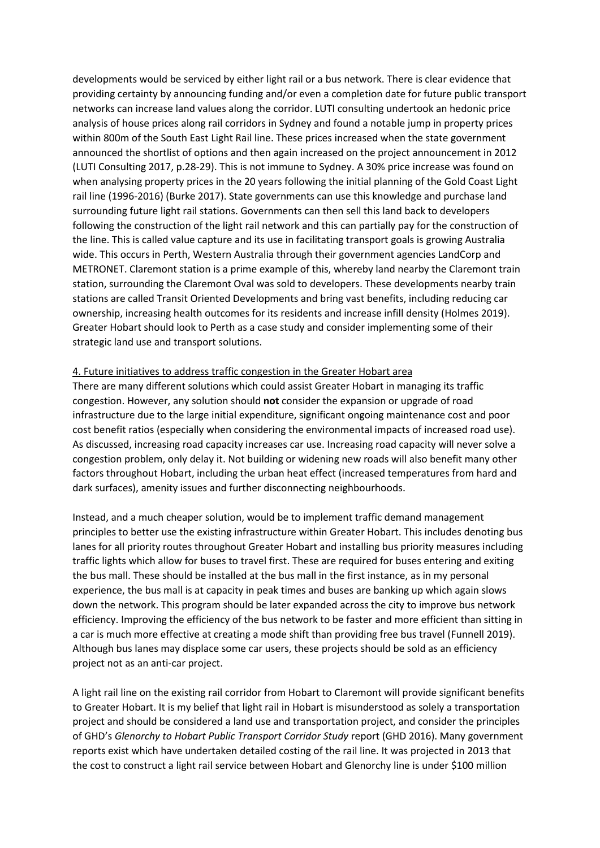developments would be serviced by either light rail or a bus network. There is clear evidence that providing certainty by announcing funding and/or even a completion date for future public transport networks can increase land values along the corridor. LUTI consulting undertook an hedonic price analysis of house prices along rail corridors in Sydney and found a notable jump in property prices within 800m of the South East Light Rail line. These prices increased when the state government announced the shortlist of options and then again increased on the project announcement in 2012 (LUTI Consulting 2017, p.28-29). This is not immune to Sydney. A 30% price increase was found on when analysing property prices in the 20 years following the initial planning of the Gold Coast Light rail line (1996-2016) (Burke 2017). State governments can use this knowledge and purchase land surrounding future light rail stations. Governments can then sell this land back to developers following the construction of the light rail network and this can partially pay for the construction of the line. This is called value capture and its use in facilitating transport goals is growing Australia wide. This occurs in Perth, Western Australia through their government agencies LandCorp and METRONET. Claremont station is a prime example of this, whereby land nearby the Claremont train station, surrounding the Claremont Oval was sold to developers. These developments nearby train stations are called Transit Oriented Developments and bring vast benefits, including reducing car ownership, increasing health outcomes for its residents and increase infill density (Holmes 2019). Greater Hobart should look to Perth as a case study and consider implementing some of their strategic land use and transport solutions.

#### 4. Future initiatives to address traffic congestion in the Greater Hobart area

There are many different solutions which could assist Greater Hobart in managing its traffic congestion. However, any solution should **not** consider the expansion or upgrade of road infrastructure due to the large initial expenditure, significant ongoing maintenance cost and poor cost benefit ratios (especially when considering the environmental impacts of increased road use). As discussed, increasing road capacity increases car use. Increasing road capacity will never solve a congestion problem, only delay it. Not building or widening new roads will also benefit many other factors throughout Hobart, including the urban heat effect (increased temperatures from hard and dark surfaces), amenity issues and further disconnecting neighbourhoods.

Instead, and a much cheaper solution, would be to implement traffic demand management principles to better use the existing infrastructure within Greater Hobart. This includes denoting bus lanes for all priority routes throughout Greater Hobart and installing bus priority measures including traffic lights which allow for buses to travel first. These are required for buses entering and exiting the bus mall. These should be installed at the bus mall in the first instance, as in my personal experience, the bus mall is at capacity in peak times and buses are banking up which again slows down the network. This program should be later expanded across the city to improve bus network efficiency. Improving the efficiency of the bus network to be faster and more efficient than sitting in a car is much more effective at creating a mode shift than providing free bus travel (Funnell 2019). Although bus lanes may displace some car users, these projects should be sold as an efficiency project not as an anti-car project.

A light rail line on the existing rail corridor from Hobart to Claremont will provide significant benefits to Greater Hobart. It is my belief that light rail in Hobart is misunderstood as solely a transportation project and should be considered a land use and transportation project, and consider the principles of GHD's *Glenorchy to Hobart Public Transport Corridor Study* report (GHD 2016). Many government reports exist which have undertaken detailed costing of the rail line. It was projected in 2013 that the cost to construct a light rail service between Hobart and Glenorchy line is under \$100 million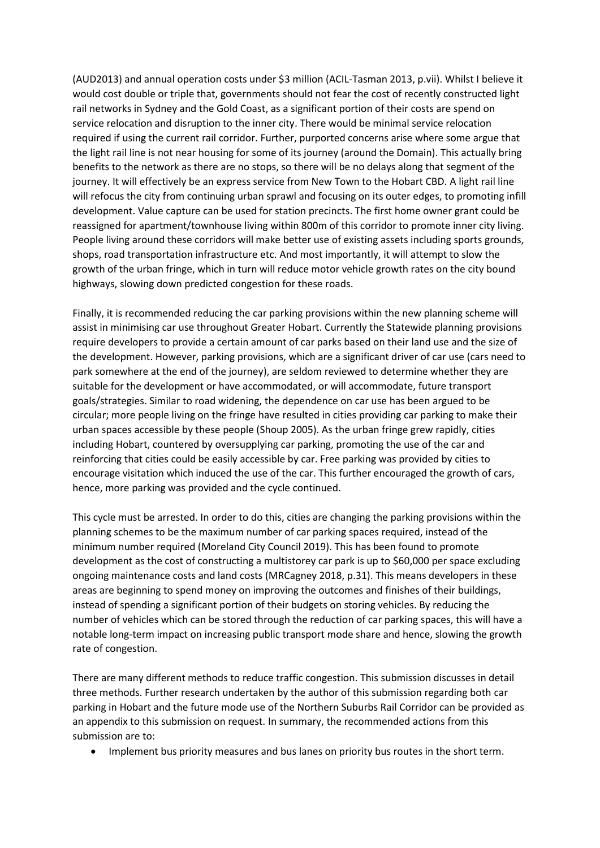(AUD2013) and annual operation costs under \$3 million (ACIL-Tasman 2013, p.vii). Whilst I believe it would cost double or triple that, governments should not fear the cost of recently constructed light rail networks in Sydney and the Gold Coast, as a significant portion of their costs are spend on service relocation and disruption to the inner city. There would be minimal service relocation required if using the current rail corridor. Further, purported concerns arise where some argue that the light rail line is not near housing for some of its journey (around the Domain). This actually bring benefits to the network as there are no stops, so there will be no delays along that segment of the journey. It will effectively be an express service from New Town to the Hobart CBD. A light rail line will refocus the city from continuing urban sprawl and focusing on its outer edges, to promoting infill development. Value capture can be used for station precincts. The first home owner grant could be reassigned for apartment/townhouse living within 800m of this corridor to promote inner city living. People living around these corridors will make better use of existing assets including sports grounds, shops, road transportation infrastructure etc. And most importantly, it will attempt to slow the growth of the urban fringe, which in turn will reduce motor vehicle growth rates on the city bound highways, slowing down predicted congestion for these roads.

Finally, it is recommended reducing the car parking provisions within the new planning scheme will assist in minimising car use throughout Greater Hobart. Currently the Statewide planning provisions require developers to provide a certain amount of car parks based on their land use and the size of the development. However, parking provisions, which are a significant driver of car use (cars need to park somewhere at the end of the journey), are seldom reviewed to determine whether they are suitable for the development or have accommodated, or will accommodate, future transport goals/strategies. Similar to road widening, the dependence on car use has been argued to be circular; more people living on the fringe have resulted in cities providing car parking to make their urban spaces accessible by these people (Shoup 2005). As the urban fringe grew rapidly, cities including Hobart, countered by oversupplying car parking, promoting the use of the car and reinforcing that cities could be easily accessible by car. Free parking was provided by cities to encourage visitation which induced the use of the car. This further encouraged the growth of cars, hence, more parking was provided and the cycle continued.

This cycle must be arrested. In order to do this, cities are changing the parking provisions within the planning schemes to be the maximum number of car parking spaces required, instead of the minimum number required (Moreland City Council 2019). This has been found to promote development as the cost of constructing a multistorey car park is up to \$60,000 per space excluding ongoing maintenance costs and land costs (MRCagney 2018, p.31). This means developers in these areas are beginning to spend money on improving the outcomes and finishes of their buildings, instead of spending a significant portion of their budgets on storing vehicles. By reducing the number of vehicles which can be stored through the reduction of car parking spaces, this will have a notable long-term impact on increasing public transport mode share and hence, slowing the growth rate of congestion.

There are many different methods to reduce traffic congestion. This submission discusses in detail three methods. Further research undertaken by the author of this submission regarding both car parking in Hobart and the future mode use of the Northern Suburbs Rail Corridor can be provided as an appendix to this submission on request. In summary, the recommended actions from this submission are to:

• Implement bus priority measures and bus lanes on priority bus routes in the short term.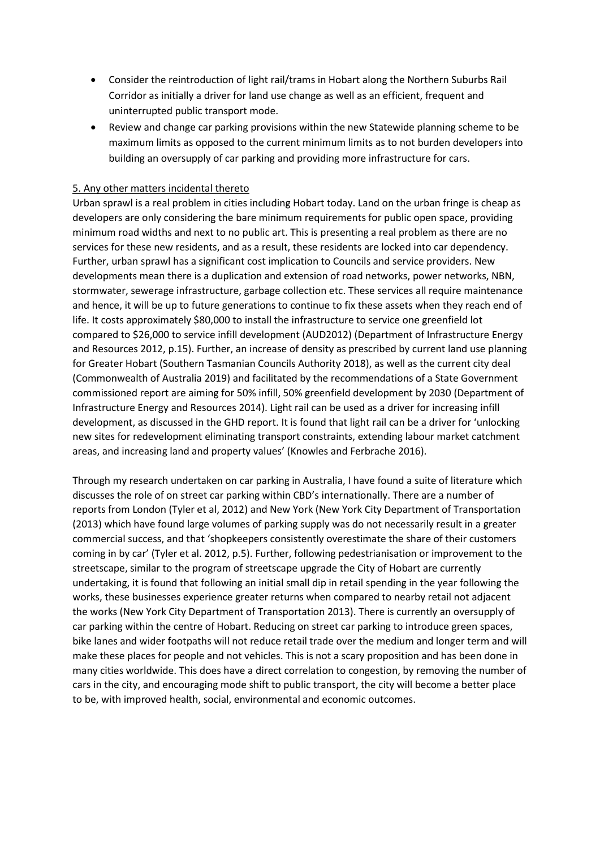- Consider the reintroduction of light rail/trams in Hobart along the Northern Suburbs Rail Corridor as initially a driver for land use change as well as an efficient, frequent and uninterrupted public transport mode.
- Review and change car parking provisions within the new Statewide planning scheme to be maximum limits as opposed to the current minimum limits as to not burden developers into building an oversupply of car parking and providing more infrastructure for cars.

# 5. Any other matters incidental thereto

Urban sprawl is a real problem in cities including Hobart today. Land on the urban fringe is cheap as developers are only considering the bare minimum requirements for public open space, providing minimum road widths and next to no public art. This is presenting a real problem as there are no services for these new residents, and as a result, these residents are locked into car dependency. Further, urban sprawl has a significant cost implication to Councils and service providers. New developments mean there is a duplication and extension of road networks, power networks, NBN, stormwater, sewerage infrastructure, garbage collection etc. These services all require maintenance and hence, it will be up to future generations to continue to fix these assets when they reach end of life. It costs approximately \$80,000 to install the infrastructure to service one greenfield lot compared to \$26,000 to service infill development (AUD2012) (Department of Infrastructure Energy and Resources 2012, p.15). Further, an increase of density as prescribed by current land use planning for Greater Hobart (Southern Tasmanian Councils Authority 2018), as well as the current city deal (Commonwealth of Australia 2019) and facilitated by the recommendations of a State Government commissioned report are aiming for 50% infill, 50% greenfield development by 2030 (Department of Infrastructure Energy and Resources 2014). Light rail can be used as a driver for increasing infill development, as discussed in the GHD report. It is found that light rail can be a driver for 'unlocking new sites for redevelopment eliminating transport constraints, extending labour market catchment areas, and increasing land and property values' (Knowles and Ferbrache 2016).

Through my research undertaken on car parking in Australia, I have found a suite of literature which discusses the role of on street car parking within CBD's internationally. There are a number of reports from London (Tyler et al, 2012) and New York (New York City Department of Transportation (2013) which have found large volumes of parking supply was do not necessarily result in a greater commercial success, and that 'shopkeepers consistently overestimate the share of their customers coming in by car' (Tyler et al. 2012, p.5). Further, following pedestrianisation or improvement to the streetscape, similar to the program of streetscape upgrade the City of Hobart are currently undertaking, it is found that following an initial small dip in retail spending in the year following the works, these businesses experience greater returns when compared to nearby retail not adjacent the works (New York City Department of Transportation 2013). There is currently an oversupply of car parking within the centre of Hobart. Reducing on street car parking to introduce green spaces, bike lanes and wider footpaths will not reduce retail trade over the medium and longer term and will make these places for people and not vehicles. This is not a scary proposition and has been done in many cities worldwide. This does have a direct correlation to congestion, by removing the number of cars in the city, and encouraging mode shift to public transport, the city will become a better place to be, with improved health, social, environmental and economic outcomes.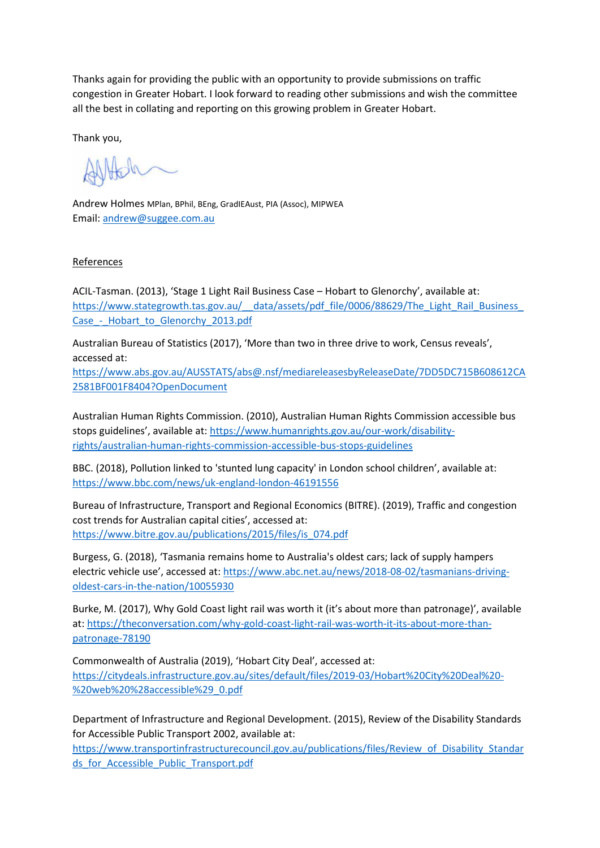Thanks again for providing the public with an opportunity to provide submissions on traffic congestion in Greater Hobart. I look forward to reading other submissions and wish the committee all the best in collating and reporting on this growing problem in Greater Hobart.

Thank you,

Andrew Holmes MPlan, BPhil, BEng, GradIEAust, PIA (Assoc), MIPWEA Email: [andrew@suggee.com.au](mailto:andrew@suggee.com.au)

## References

ACIL-Tasman. (2013), 'Stage 1 Light Rail Business Case – Hobart to Glenorchy', available at: https://www.stategrowth.tas.gov.au/ data/assets/pdf\_file/0006/88629/The\_Light\_Rail\_Business Case - Hobart to Glenorchy 2013.pdf

Australian Bureau of Statistics (2017), 'More than two in three drive to work, Census reveals', accessed at:

[https://www.abs.gov.au/AUSSTATS/abs@.nsf/mediareleasesbyReleaseDate/7DD5DC715B608612CA](https://www.abs.gov.au/AUSSTATS/abs@.nsf/mediareleasesbyReleaseDate/7DD5DC715B608612CA2581BF001F8404?OpenDocument) [2581BF001F8404?OpenDocument](https://www.abs.gov.au/AUSSTATS/abs@.nsf/mediareleasesbyReleaseDate/7DD5DC715B608612CA2581BF001F8404?OpenDocument)

Australian Human Rights Commission. (2010), Australian Human Rights Commission accessible bus stops guidelines', available at: [https://www.humanrights.gov.au/our-work/disability](https://www.humanrights.gov.au/our-work/disability-rights/australian-human-rights-commission-accessible-bus-stops-guidelines)[rights/australian-human-rights-commission-accessible-bus-stops-guidelines](https://www.humanrights.gov.au/our-work/disability-rights/australian-human-rights-commission-accessible-bus-stops-guidelines)

BBC. (2018), Pollution linked to 'stunted lung capacity' in London school children', available at: <https://www.bbc.com/news/uk-england-london-46191556>

Bureau of Infrastructure, Transport and Regional Economics (BITRE). (2019), Traffic and congestion cost trends for Australian capital cities', accessed at: [https://www.bitre.gov.au/publications/2015/files/is\\_074.pdf](https://www.bitre.gov.au/publications/2015/files/is_074.pdf)

Burgess, G. (2018), 'Tasmania remains home to Australia's oldest cars; lack of supply hampers electric vehicle use', accessed at: [https://www.abc.net.au/news/2018-08-02/tasmanians-driving](https://www.abc.net.au/news/2018-08-02/tasmanians-driving-oldest-cars-in-the-nation/10055930)[oldest-cars-in-the-nation/10055930](https://www.abc.net.au/news/2018-08-02/tasmanians-driving-oldest-cars-in-the-nation/10055930)

Burke, M. (2017), Why Gold Coast light rail was worth it (it's about more than patronage)', available at: [https://theconversation.com/why-gold-coast-light-rail-was-worth-it-its-about-more-than](https://theconversation.com/why-gold-coast-light-rail-was-worth-it-its-about-more-than-patronage-78190)[patronage-78190](https://theconversation.com/why-gold-coast-light-rail-was-worth-it-its-about-more-than-patronage-78190)

Commonwealth of Australia (2019), 'Hobart City Deal', accessed at: [https://citydeals.infrastructure.gov.au/sites/default/files/2019-03/Hobart%20City%20Deal%20-](https://citydeals.infrastructure.gov.au/sites/default/files/2019-03/Hobart%20City%20Deal%20-%20web%20%28accessible%29_0.pdf) [%20web%20%28accessible%29\\_0.pdf](https://citydeals.infrastructure.gov.au/sites/default/files/2019-03/Hobart%20City%20Deal%20-%20web%20%28accessible%29_0.pdf)

Department of Infrastructure and Regional Development. (2015), Review of the Disability Standards for Accessible Public Transport 2002, available at:

[https://www.transportinfrastructurecouncil.gov.au/publications/files/Review\\_of\\_Disability\\_Standar](https://www.transportinfrastructurecouncil.gov.au/publications/files/Review_of_Disability_Standards_for_Accessible_Public_Transport.pdf) ds for Accessible Public Transport.pdf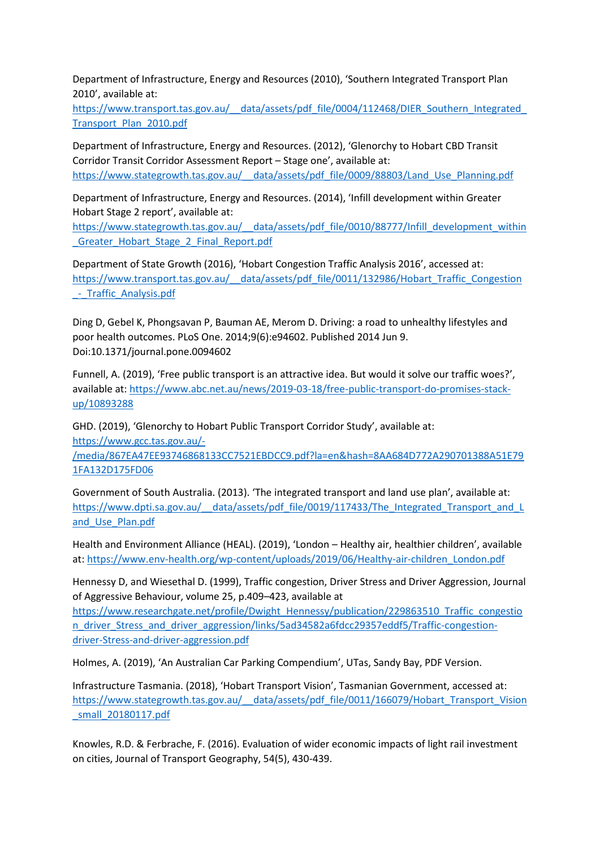Department of Infrastructure, Energy and Resources (2010), 'Southern Integrated Transport Plan 2010', available at:

https://www.transport.tas.gov.au/\_\_data/assets/pdf\_file/0004/112468/DIER\_Southern\_Integrated [Transport\\_Plan\\_2010.pdf](https://www.transport.tas.gov.au/__data/assets/pdf_file/0004/112468/DIER_Southern_Integrated_Transport_Plan_2010.pdf)

Department of Infrastructure, Energy and Resources. (2012), 'Glenorchy to Hobart CBD Transit Corridor Transit Corridor Assessment Report – Stage one', available at: [https://www.stategrowth.tas.gov.au/\\_\\_data/assets/pdf\\_file/0009/88803/Land\\_Use\\_Planning.pdf](https://www.stategrowth.tas.gov.au/__data/assets/pdf_file/0009/88803/Land_Use_Planning.pdf)

Department of Infrastructure, Energy and Resources. (2014), 'Infill development within Greater Hobart Stage 2 report', available at:

[https://www.stategrowth.tas.gov.au/\\_\\_data/assets/pdf\\_file/0010/88777/Infill\\_development\\_within](https://www.stategrowth.tas.gov.au/__data/assets/pdf_file/0010/88777/Infill_development_within_Greater_Hobart_Stage_2_Final_Report.pdf) [\\_Greater\\_Hobart\\_Stage\\_2\\_Final\\_Report.pdf](https://www.stategrowth.tas.gov.au/__data/assets/pdf_file/0010/88777/Infill_development_within_Greater_Hobart_Stage_2_Final_Report.pdf)

Department of State Growth (2016), 'Hobart Congestion Traffic Analysis 2016', accessed at: [https://www.transport.tas.gov.au/\\_\\_data/assets/pdf\\_file/0011/132986/Hobart\\_Traffic\\_Congestion](https://www.transport.tas.gov.au/__data/assets/pdf_file/0011/132986/Hobart_Traffic_Congestion_-_Traffic_Analysis.pdf) - Traffic Analysis.pdf

Ding D, Gebel K, Phongsavan P, Bauman AE, Merom D. Driving: a road to unhealthy lifestyles and poor health outcomes. PLoS One. 2014;9(6):e94602. Published 2014 Jun 9. Doi:10.1371/journal.pone.0094602

Funnell, A. (2019), 'Free public transport is an attractive idea. But would it solve our traffic woes?', available at[: https://www.abc.net.au/news/2019-03-18/free-public-transport-do-promises-stack](https://www.abc.net.au/news/2019-03-18/free-public-transport-do-promises-stack-up/10893288)[up/10893288](https://www.abc.net.au/news/2019-03-18/free-public-transport-do-promises-stack-up/10893288)

GHD. (2019), 'Glenorchy to Hobart Public Transport Corridor Study', available at: [https://www.gcc.tas.gov.au/-](https://www.gcc.tas.gov.au/-/media/867EA47EE93746868133CC7521EBDCC9.pdf?la=en&hash=8AA684D772A290701388A51E791FA132D175FD06)

[/media/867EA47EE93746868133CC7521EBDCC9.pdf?la=en&hash=8AA684D772A290701388A51E79](https://www.gcc.tas.gov.au/-/media/867EA47EE93746868133CC7521EBDCC9.pdf?la=en&hash=8AA684D772A290701388A51E791FA132D175FD06) [1FA132D175FD06](https://www.gcc.tas.gov.au/-/media/867EA47EE93746868133CC7521EBDCC9.pdf?la=en&hash=8AA684D772A290701388A51E791FA132D175FD06)

Government of South Australia. (2013). 'The integrated transport and land use plan', available at: https://www.dpti.sa.gov.au/\_data/assets/pdf\_file/0019/117433/The\_Integrated\_Transport\_and\_L [and\\_Use\\_Plan.pdf](https://www.dpti.sa.gov.au/__data/assets/pdf_file/0019/117433/The_Integrated_Transport_and_Land_Use_Plan.pdf)

Health and Environment Alliance (HEAL). (2019), 'London – Healthy air, healthier children', available at: [https://www.env-health.org/wp-content/uploads/2019/06/Healthy-air-children\\_London.pdf](https://www.env-health.org/wp-content/uploads/2019/06/Healthy-air-children_London.pdf)

Hennessy D, and Wiesethal D. (1999), Traffic congestion, Driver Stress and Driver Aggression, Journal of Aggressive Behaviour, volume 25, p.409–423, available at

[https://www.researchgate.net/profile/Dwight\\_Hennessy/publication/229863510\\_Traffic\\_congestio](https://www.researchgate.net/profile/Dwight_Hennessy/publication/229863510_Traffic_congestion_driver_Stress_and_driver_aggression/links/5ad34582a6fdcc29357eddf5/Traffic-congestion-driver-Stress-and-driver-aggression.pdf) [n\\_driver\\_Stress\\_and\\_driver\\_aggression/links/5ad34582a6fdcc29357eddf5/Traffic-congestion](https://www.researchgate.net/profile/Dwight_Hennessy/publication/229863510_Traffic_congestion_driver_Stress_and_driver_aggression/links/5ad34582a6fdcc29357eddf5/Traffic-congestion-driver-Stress-and-driver-aggression.pdf)[driver-Stress-and-driver-aggression.pdf](https://www.researchgate.net/profile/Dwight_Hennessy/publication/229863510_Traffic_congestion_driver_Stress_and_driver_aggression/links/5ad34582a6fdcc29357eddf5/Traffic-congestion-driver-Stress-and-driver-aggression.pdf)

Holmes, A. (2019), 'An Australian Car Parking Compendium', UTas, Sandy Bay, PDF Version.

Infrastructure Tasmania. (2018), 'Hobart Transport Vision', Tasmanian Government, accessed at: [https://www.stategrowth.tas.gov.au/\\_\\_data/assets/pdf\\_file/0011/166079/Hobart\\_Transport\\_Vision](https://www.stategrowth.tas.gov.au/__data/assets/pdf_file/0011/166079/Hobart_Transport_Vision_small_20180117.pdf) [\\_small\\_20180117.pdf](https://www.stategrowth.tas.gov.au/__data/assets/pdf_file/0011/166079/Hobart_Transport_Vision_small_20180117.pdf)

Knowles, R.D. & Ferbrache, F. (2016). Evaluation of wider economic impacts of light rail investment on cities, Journal of Transport Geography, 54(5), 430-439.